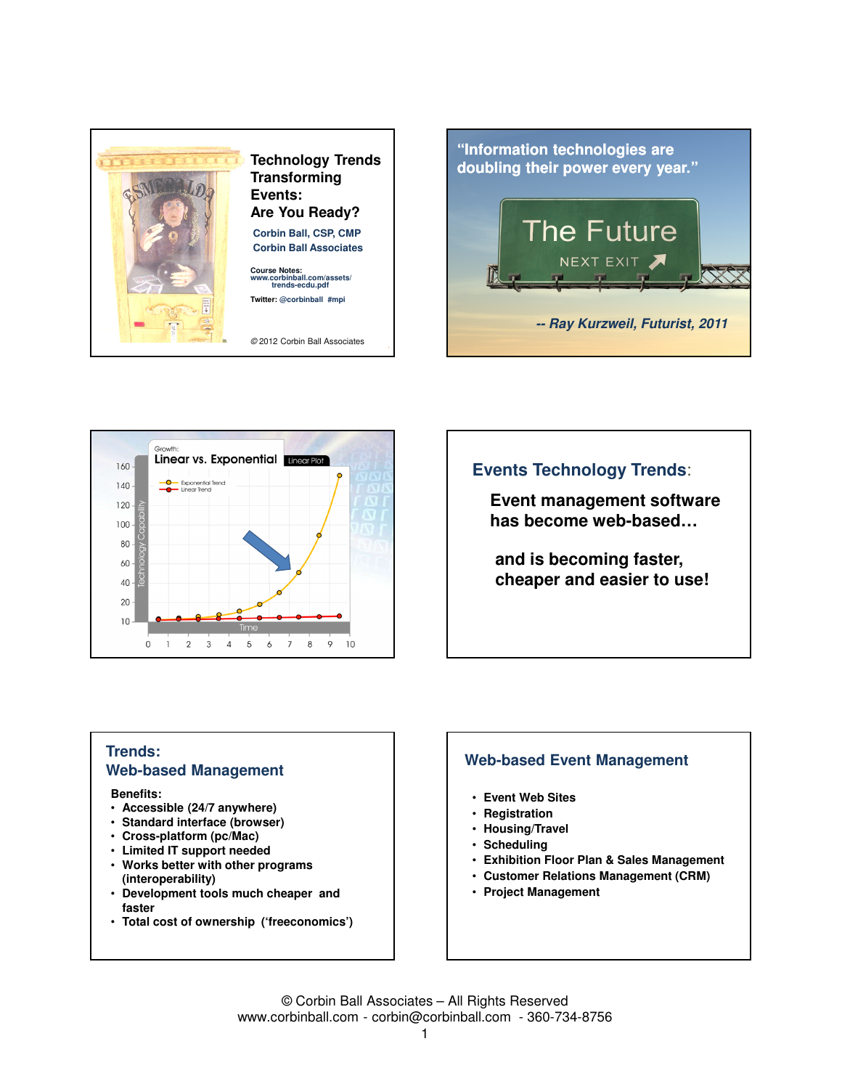





# **Events Technology Trends**:

**Event management software has become web-based…**

**and is becoming faster, cheaper and easier to use!**

## **Trends: Web-based Management**

#### **Benefits:**

- **Accessible (24/7 anywhere)**
- **Standard interface (browser)**
- **Cross-platform (pc/Mac)**
- **Limited IT support needed**
- **Works better with other programs (interoperability)**
- **Development tools much cheaper and faster**
- **Total cost of ownership ('freeconomics')**

#### **Web-based Event Management**

- **Event Web Sites**
- **Registration**
- **Housing/Travel**
- **Scheduling**
- **Exhibition Floor Plan & Sales Management**
- **Customer Relations Management (CRM)**
- **Project Management**

© Corbin Ball Associates – All Rights Reserved www.corbinball.com - corbin@corbinball.com - 360-734-8756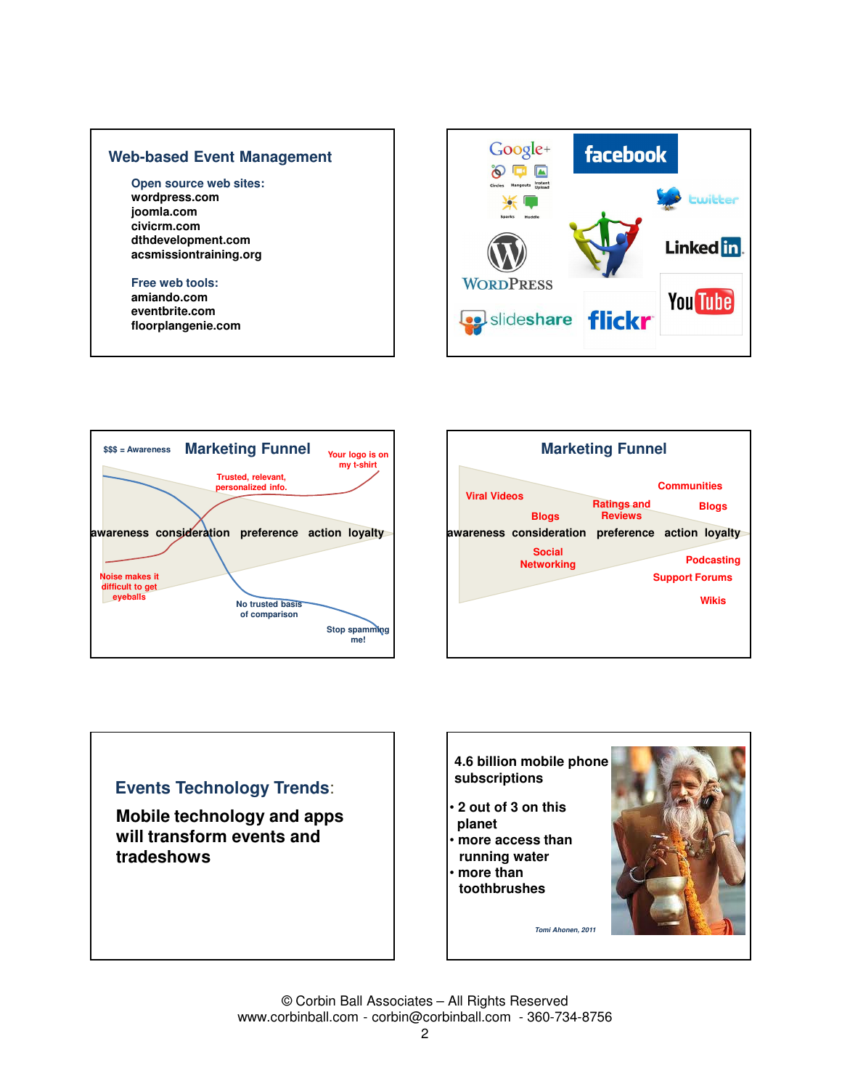### **Web-based Event Management**

#### **Open source web sites: wordpress.com**

**joomla.com civicrm.com dthdevelopment.com acsmissiontraining.org**

#### **Free web tools:**

**amiando.com eventbrite.com floorplangenie.com**







# **Events Technology Trends**: **Mobile technology and apps will transform events and tradeshows Tomi Ahonen, 2011 4.6 billion mobile phone subscriptions** • **2 out of 3 on this planet**  • **more access than running water** • **more than toothbrushes**

© Corbin Ball Associates – All Rights Reserved www.corbinball.com - corbin@corbinball.com - 360-734-8756